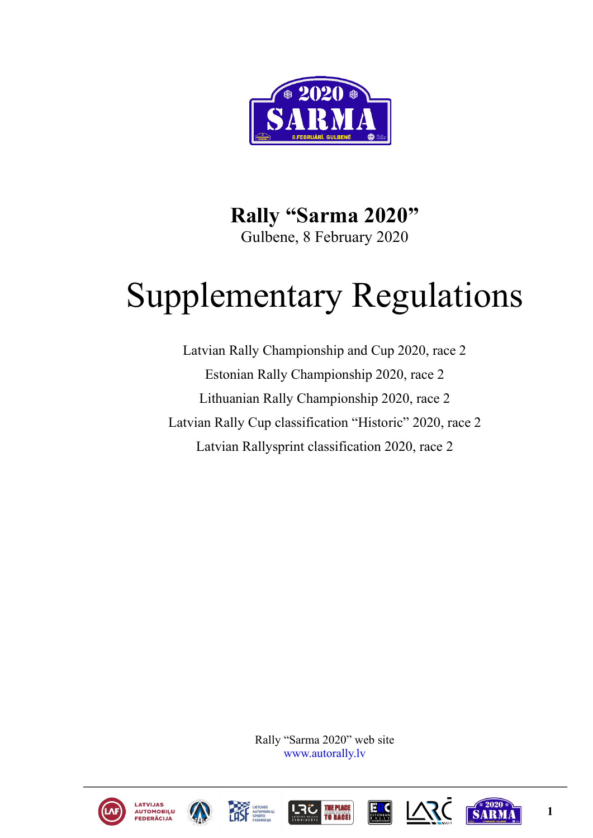

**Rally "Sarma 2020"** Gulbene, 8 February 2020

# Supplementary Regulations

Latvian Rally Championship and Cup 2020, race 2 Estonian Rally Championship 2020, race 2 Lithuanian Rally Championship 2020, race 2 Latvian Rally Cup classification "Historic" 2020, race 2 Latvian Rallysprint classification 2020, race 2

> Rally "Sarma 2020" web site [www.autorally.lv](http://www.autorally.lv/)













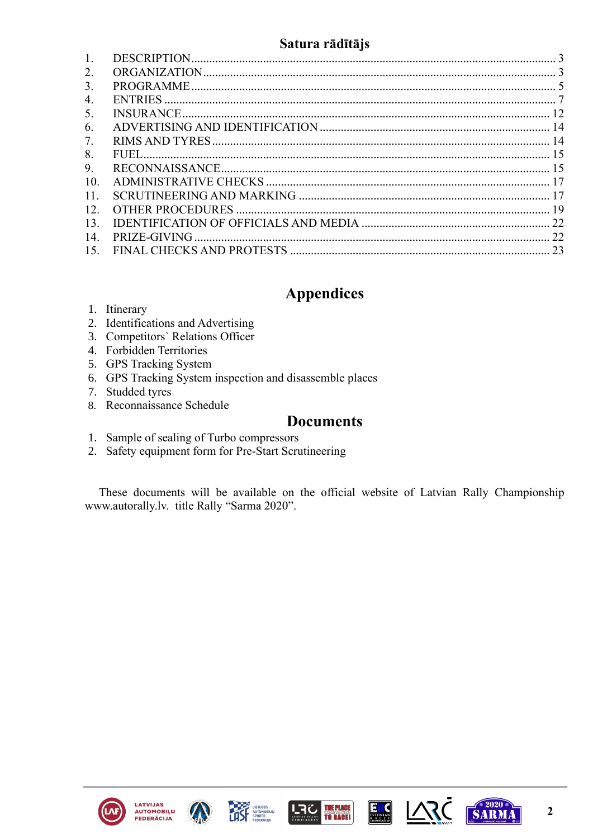# Satura rādītājs

<span id="page-1-0"></span>

| 1.  |  |
|-----|--|
| 2.  |  |
| 3.  |  |
| 4.  |  |
| 5.  |  |
| 6.  |  |
| 7.  |  |
| 8.  |  |
| 9.  |  |
| 10. |  |
| 11. |  |
| 12. |  |
| 13. |  |
| 14. |  |
| 15. |  |

# **Appendices**

- 1. Itinerary
- 2. Identifications and Advertising
- 3. Competitors' Relations Officer
- 4. Forbidden Territories
- 5. GPS Tracking System
- 6. GPS Tracking System inspection and disassemble places
- 7. Studded tyres
- 8. Reconnaissance Schedule

# **Documents**

- 1. Sample of sealing of Turbo compressors
- 2. Safety equipment form for Pre-Start Scrutineering

These documents will be available on the official website of Latvian Rally Championship www.autorally.lv. title Rally "Sarma 2020".











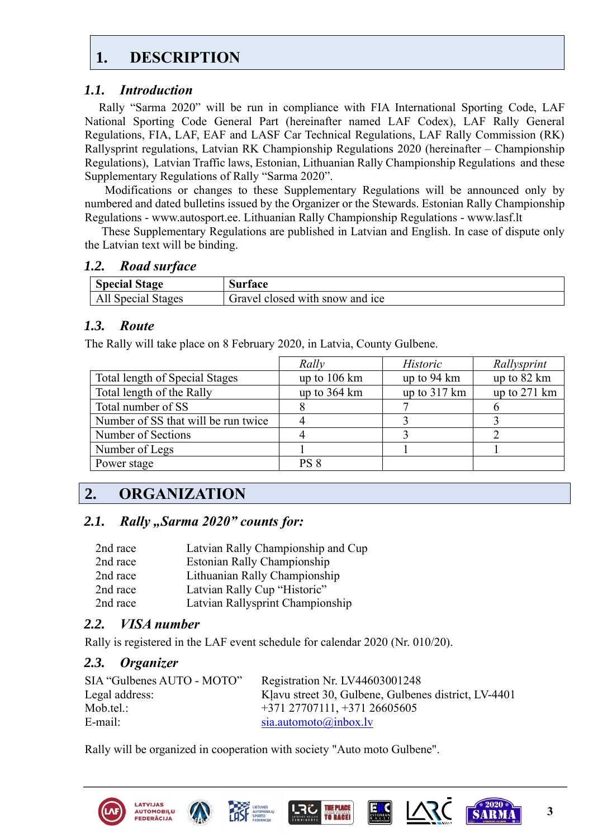# <span id="page-2-0"></span>**1. [DESCRIPTION](#page-1-0)**

# *1.1. Introduction*

Rally "Sarma 2020" will be run in compliance with FIA International Sporting Code, LAF National Sporting Code General Part (hereinafter named LAF Codex), LAF Rally General Regulations, FIA, LAF, EAF and LASF Car Technical Regulations, LAF Rally Commission (RK) Rallysprint regulations, Latvian RK Championship Regulations 2020 (hereinafter – Championship Regulations), Latvian Traffic laws, Estonian, Lithuanian Rally Championship Regulations and these Supplementary Regulations of Rally "Sarma 2020".

 Modifications or changes to these Supplementary Regulations will be announced only by numbered and dated bulletins issued by the Organizer or the Stewards. Estonian Rally Championship Regulations - www.autosport.ee. Lithuanian Rally Championship Regulations - www.lasf.lt

These Supplementary Regulations are published in Latvian and English. In case of dispute only the Latvian text will be binding.

### *1.2. Road surface*

| <b>Special Stage</b> | surtace                         |
|----------------------|---------------------------------|
| Special Stages       | Gravel closed with snow and ice |

# *1.3. Route*

The Rally will take place on 8 February 2020, in Latvia, County Gulbene.

|                                     | Rally                  | <b>Historic</b>        | Rallysprint  |
|-------------------------------------|------------------------|------------------------|--------------|
| Total length of Special Stages      | up to $106 \text{ km}$ | up to 94 km            | up to 82 km  |
| Total length of the Rally           | up to $364 \text{ km}$ | up to $317 \text{ km}$ | up to 271 km |
| Total number of SS                  |                        |                        |              |
| Number of SS that will be run twice |                        |                        |              |
| Number of Sections                  |                        |                        |              |
| Number of Legs                      |                        |                        |              |
| Power stage                         | PS <sub>8</sub>        |                        |              |

# <span id="page-2-1"></span>**2. [ORGANIZATION](#page-1-0)**

# 2.1. **Rally "Sarma 2020" counts for:**

| 2nd race | Latvian Rally Championship and Cup |
|----------|------------------------------------|
| 2nd race | Estonian Rally Championship        |
| 2nd race | Lithuanian Rally Championship      |
| 2nd race | Latvian Rally Cup "Historic"       |
| 2nd race | Latvian Rallysprint Championship   |

# *2.2. VISA number*

Rally is registered in the LAF event schedule for calendar 2020 (Nr. 010/20).

# *2.3. Organizer*

| SIA "Gulbenes AUTO - MOTO" | Registration Nr. LV44603001248                       |
|----------------------------|------------------------------------------------------|
| Legal address:             | Klavu street 30, Gulbene, Gulbenes district, LV-4401 |
| Mob.tel.:                  | $+371$ 27707111, $+371$ 26605605                     |
| E-mail:                    | sia. automoto@inbox.lv                               |

Rally will be organized in cooperation with society "Auto moto Gulbene".









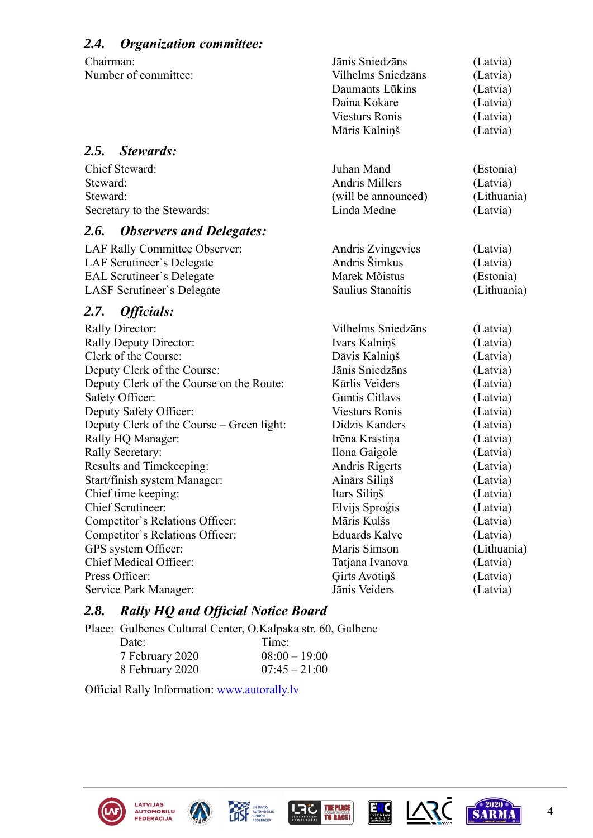| <b>Organization committee:</b><br>2.4.                                                                                                                                                                                                                                                                                                                                                                                                                                                                                                                |                                                                                                                                                                                                                                                                                                                                                                  |                                                                                                                                                                                                                                     |
|-------------------------------------------------------------------------------------------------------------------------------------------------------------------------------------------------------------------------------------------------------------------------------------------------------------------------------------------------------------------------------------------------------------------------------------------------------------------------------------------------------------------------------------------------------|------------------------------------------------------------------------------------------------------------------------------------------------------------------------------------------------------------------------------------------------------------------------------------------------------------------------------------------------------------------|-------------------------------------------------------------------------------------------------------------------------------------------------------------------------------------------------------------------------------------|
| Chairman:<br>Number of committee:                                                                                                                                                                                                                                                                                                                                                                                                                                                                                                                     | Jānis Sniedzāns<br>Vilhelms Sniedzāns<br>Daumants Lūkins<br>Daina Kokare<br><b>Viesturs Ronis</b><br>Māris Kalniņš                                                                                                                                                                                                                                               | (Latvia)<br>(Latvia)<br>(Latvia)<br>(Latvia)<br>(Latvia)<br>(Latvia)                                                                                                                                                                |
| <b>Stewards:</b><br>2.5.                                                                                                                                                                                                                                                                                                                                                                                                                                                                                                                              |                                                                                                                                                                                                                                                                                                                                                                  |                                                                                                                                                                                                                                     |
| Chief Steward:<br>Steward:<br>Steward:<br>Secretary to the Stewards:                                                                                                                                                                                                                                                                                                                                                                                                                                                                                  | Juhan Mand<br><b>Andris Millers</b><br>(will be announced)<br>Linda Medne                                                                                                                                                                                                                                                                                        | (Estonia)<br>(Latvia)<br>(Lithuania)<br>(Latvia)                                                                                                                                                                                    |
| 2.6.<br><b>Observers and Delegates:</b>                                                                                                                                                                                                                                                                                                                                                                                                                                                                                                               |                                                                                                                                                                                                                                                                                                                                                                  |                                                                                                                                                                                                                                     |
| LAF Rally Committee Observer:<br>LAF Scrutineer's Delegate<br><b>EAL Scrutineer's Delegate</b><br>LASF Scrutineer's Delegate                                                                                                                                                                                                                                                                                                                                                                                                                          | Andris Zvingevics<br>Andris Šimkus<br>Marek Mõistus<br>Saulius Stanaitis                                                                                                                                                                                                                                                                                         | (Latvia)<br>(Latvia)<br>(Estonia)<br>(Lithuania)                                                                                                                                                                                    |
| <i><b>Officials:</b></i><br><b>2.7.</b>                                                                                                                                                                                                                                                                                                                                                                                                                                                                                                               |                                                                                                                                                                                                                                                                                                                                                                  |                                                                                                                                                                                                                                     |
| <b>Rally Director:</b><br><b>Rally Deputy Director:</b><br>Clerk of the Course:<br>Deputy Clerk of the Course:<br>Deputy Clerk of the Course on the Route:<br>Safety Officer:<br>Deputy Safety Officer:<br>Deputy Clerk of the Course – Green light:<br>Rally HQ Manager:<br>Rally Secretary:<br>Results and Timekeeping:<br>Start/finish system Manager:<br>Chief time keeping:<br><b>Chief Scrutineer:</b><br>Competitor's Relations Officer:<br>Competitor's Relations Officer:<br>GPS system Officer:<br>Chief Medical Officer:<br>Press Officer: | Vilhelms Sniedzāns<br>Ivars Kalninš<br>Dāvis Kalniņš<br>Jānis Sniedzāns<br>Kārlis Veiders<br><b>Guntis Citlavs</b><br><b>Viesturs Ronis</b><br>Didzis Kanders<br>Irēna Krastiņa<br>Ilona Gaigole<br>Andris Rigerts<br>Ainārs Siliņš<br>Itars Siliņš<br>Elvijs Sproģis<br>Māris Kulšs<br><b>Eduards Kalve</b><br>Maris Simson<br>Tatjana Ivanova<br>Girts Avotiņš | (Latvia)<br>(Latvia)<br>(Latvia)<br>(Latvia)<br>(Latvia)<br>(Latvia)<br>(Latvia)<br>(Latvia)<br>(Latvia)<br>(Latvia)<br>(Latvia)<br>(Latvia)<br>(Latvia)<br>(Latvia)<br>(Latvia)<br>(Latvia)<br>(Lithuania)<br>(Latvia)<br>(Latvia) |
| Service Park Manager:                                                                                                                                                                                                                                                                                                                                                                                                                                                                                                                                 | Jānis Veiders                                                                                                                                                                                                                                                                                                                                                    | (Latvia)                                                                                                                                                                                                                            |

# *2.8. Rally HQ and Official Notice Board*

Place: Gulbenes Cultural Center, O.Kalpaka str. 60, Gulbene

| Date:           | Time:           |
|-----------------|-----------------|
| 7 February 2020 | $08:00 - 19:00$ |
| 8 February 2020 | $07:45 - 21:00$ |

Official Rally Information: [www.autorally.lv](http://www.autorally.lv/)









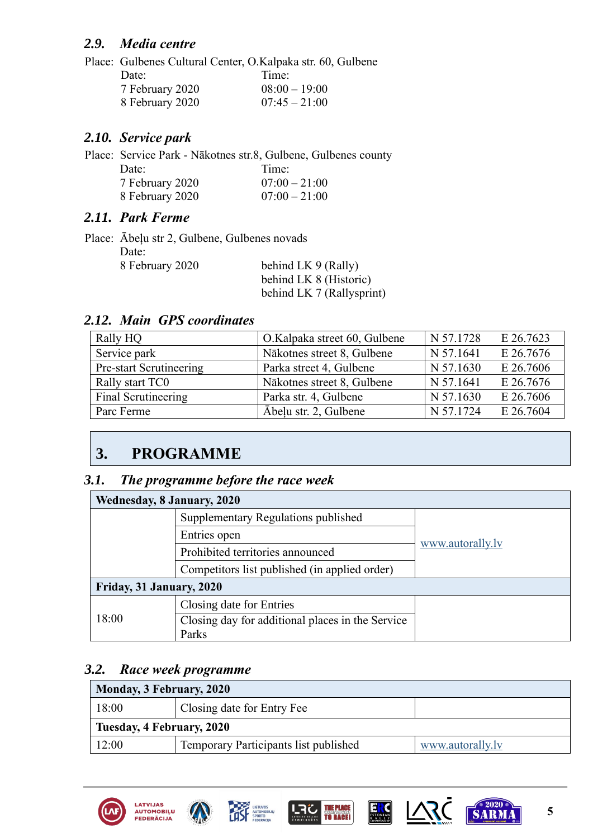# *2.9. Media centre*

Place: Gulbenes Cultural Center, O.Kalpaka str. 60, Gulbene Date: Time: 7 February 2020 08:00 – 19:00 8 February 2020 07:45 – 21:00

# *2.10. Service park*

Place: Service Park - Nākotnes str.8, Gulbene, Gulbenes county Date: Time: 7 February 2020 07:00 – 21:00 8 February 2020 07:00 – 21:00

# *2.11. Park Ferme*

|                 | Place: Abelu str 2, Gulbene, Gulbenes novads |  |
|-----------------|----------------------------------------------|--|
| Date:           |                                              |  |
| 8 February 2020 | behind LK 9 (Rally)                          |  |
|                 | behind LK 8 (Historic)                       |  |
|                 | behind LK 7 (Rallysprint)                    |  |

# *2.12. Main GPS coordinates*

| Rally HQ                | O.Kalpaka street 60, Gulbene | N 57.1728 | E 26.7623 |
|-------------------------|------------------------------|-----------|-----------|
| Service park            | Nākotnes street 8, Gulbene   | N 57.1641 | E 26.7676 |
| Pre-start Scrutineering | Parka street 4, Gulbene      | N 57.1630 | E 26.7606 |
| Rally start TC0         | Nākotnes street 8, Gulbene   | N 57.1641 | E 26.7676 |
| Final Scrutineering     | Parka str. 4, Gulbene        | N 57.1630 | E 26.7606 |
| Parc Ferme              | Ābeļu str. 2, Gulbene        | N 57.1724 | E 26.7604 |

# <span id="page-4-0"></span>**3. [PROGRAMME](#page-1-0)**

### *3.1. The programme before the race week*

| Wednesday, 8 January, 2020 |                                                  |                  |
|----------------------------|--------------------------------------------------|------------------|
|                            | Supplementary Regulations published              |                  |
|                            | Entries open                                     |                  |
|                            | Prohibited territories announced                 | www.autorally.ly |
|                            | Competitors list published (in applied order)    |                  |
| Friday, 31 January, 2020   |                                                  |                  |
|                            | Closing date for Entries                         |                  |
| 18:00                      | Closing day for additional places in the Service |                  |
|                            | Parks                                            |                  |

# *3.2. Race week programme*

| Monday, 3 February, 2020            |                                       |                  |
|-------------------------------------|---------------------------------------|------------------|
| Closing date for Entry Fee<br>18:00 |                                       |                  |
| Tuesday, 4 February, 2020           |                                       |                  |
| 12:00                               | Temporary Participants list published | www.autorally.ly |











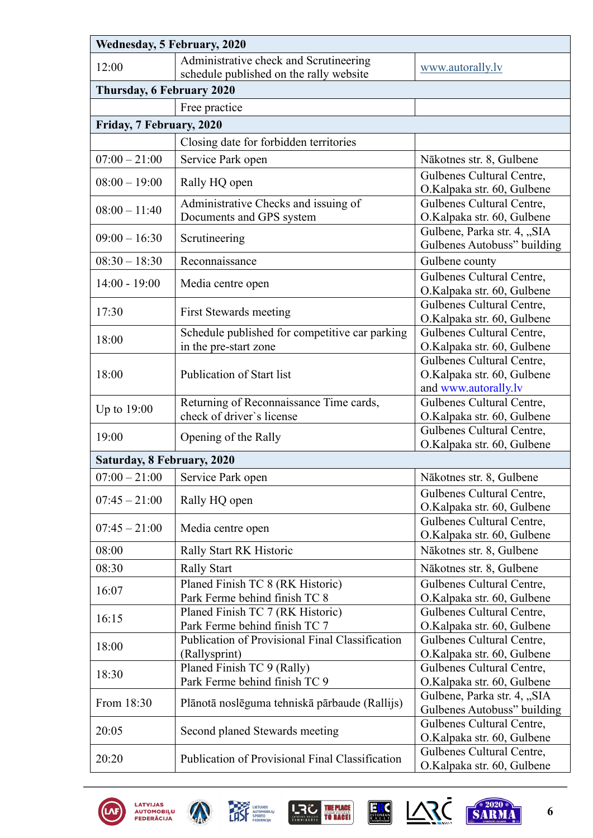| Wednesday, 5 February, 2020 |                                                                         |                                                                                 |  |  |  |
|-----------------------------|-------------------------------------------------------------------------|---------------------------------------------------------------------------------|--|--|--|
| 12:00                       | Administrative check and Scrutineering                                  | www.autorally.lv                                                                |  |  |  |
|                             | schedule published on the rally website                                 |                                                                                 |  |  |  |
|                             | Thursday, 6 February 2020                                               |                                                                                 |  |  |  |
|                             | Free practice                                                           |                                                                                 |  |  |  |
| Friday, 7 February, 2020    |                                                                         |                                                                                 |  |  |  |
|                             | Closing date for forbidden territories                                  |                                                                                 |  |  |  |
| $07:00 - 21:00$             | Service Park open                                                       | Nākotnes str. 8, Gulbene                                                        |  |  |  |
| $08:00 - 19:00$             | Rally HQ open                                                           | Gulbenes Cultural Centre,<br>O.Kalpaka str. 60, Gulbene                         |  |  |  |
| $08:00 - 11:40$             | Administrative Checks and issuing of<br>Documents and GPS system        | Gulbenes Cultural Centre,<br>O.Kalpaka str. 60, Gulbene                         |  |  |  |
| $09:00 - 16:30$             | Scrutineering                                                           | Gulbene, Parka str. 4, "SIA<br>Gulbenes Autobuss" building                      |  |  |  |
| $08:30 - 18:30$             | Reconnaissance                                                          | Gulbene county                                                                  |  |  |  |
| $14:00 - 19:00$             | Media centre open                                                       | Gulbenes Cultural Centre,<br>O.Kalpaka str. 60, Gulbene                         |  |  |  |
| 17:30                       | First Stewards meeting                                                  | Gulbenes Cultural Centre,<br>O.Kalpaka str. 60, Gulbene                         |  |  |  |
| 18:00                       | Schedule published for competitive car parking<br>in the pre-start zone | Gulbenes Cultural Centre,<br>O.Kalpaka str. 60, Gulbene                         |  |  |  |
| 18:00                       | Publication of Start list                                               | Gulbenes Cultural Centre,<br>O.Kalpaka str. 60, Gulbene<br>and www.autorally.lv |  |  |  |
| Up to $19:00$               | Returning of Reconnaissance Time cards,<br>check of driver's license    | Gulbenes Cultural Centre,<br>O.Kalpaka str. 60, Gulbene                         |  |  |  |
| 19:00                       | Opening of the Rally                                                    | Gulbenes Cultural Centre,<br>O.Kalpaka str. 60, Gulbene                         |  |  |  |
| Saturday, 8 February, 2020  |                                                                         |                                                                                 |  |  |  |
| $07:00 - 21:00$             | Service Park open                                                       | Nākotnes str. 8, Gulbene                                                        |  |  |  |
| $07:45 - 21:00$             | Rally HQ open                                                           | Gulbenes Cultural Centre,<br>O.Kalpaka str. 60, Gulbene                         |  |  |  |
| $07:45 - 21:00$             | Media centre open                                                       | Gulbenes Cultural Centre,<br>O.Kalpaka str. 60, Gulbene                         |  |  |  |
| 08:00                       | Rally Start RK Historic                                                 | Nākotnes str. 8, Gulbene                                                        |  |  |  |
| 08:30                       | <b>Rally Start</b>                                                      | Nākotnes str. 8, Gulbene                                                        |  |  |  |
|                             | Planed Finish TC 8 (RK Historic)                                        | Gulbenes Cultural Centre,                                                       |  |  |  |
| 16:07                       | Park Ferme behind finish TC 8                                           | O.Kalpaka str. 60, Gulbene                                                      |  |  |  |
| 16:15                       | Planed Finish TC 7 (RK Historic)<br>Park Ferme behind finish TC 7       | Gulbenes Cultural Centre,<br>O.Kalpaka str. 60, Gulbene                         |  |  |  |
| 18:00                       | Publication of Provisional Final Classification<br>(Rallysprint)        | Gulbenes Cultural Centre,<br>O.Kalpaka str. 60, Gulbene                         |  |  |  |
| 18:30                       | Planed Finish TC 9 (Rally)<br>Park Ferme behind finish TC 9             | Gulbenes Cultural Centre,<br>O.Kalpaka str. 60, Gulbene                         |  |  |  |
| From 18:30                  | Plānotā noslēguma tehniskā pārbaude (Rallijs)                           | Gulbene, Parka str. 4, "SIA<br>Gulbenes Autobuss" building                      |  |  |  |
| 20:05                       | Second planed Stewards meeting                                          | Gulbenes Cultural Centre,<br>O.Kalpaka str. 60, Gulbene                         |  |  |  |
| 20:20                       | Publication of Provisional Final Classification                         | Gulbenes Cultural Centre,<br>O.Kalpaka str. 60, Gulbene                         |  |  |  |









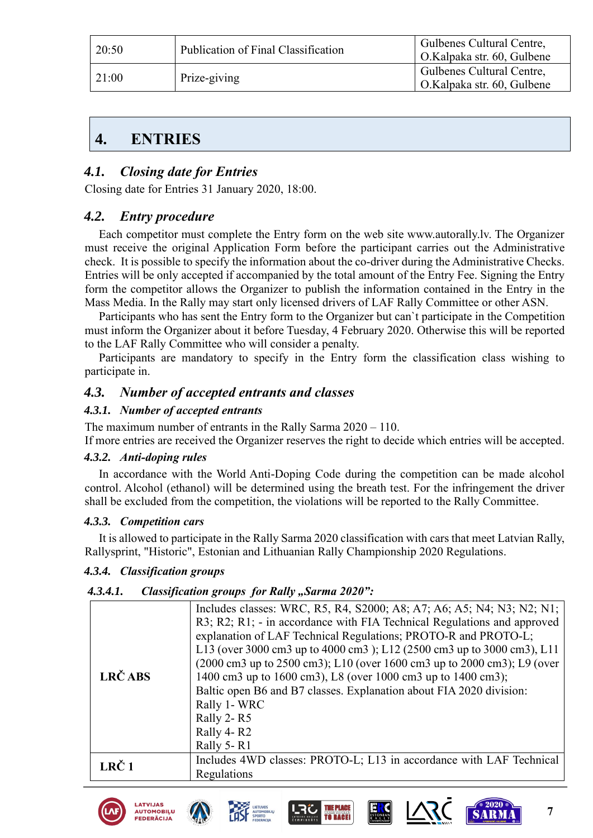| 20:50 | Publication of Final Classification | Gulbenes Cultural Centre,<br><sup>1</sup> O.Kalpaka str. 60, Gulbene |
|-------|-------------------------------------|----------------------------------------------------------------------|
| 21:00 | Prize-giving                        | Gulbenes Cultural Centre,<br>O.Kalpaka str. 60, Gulbene              |

# <span id="page-6-0"></span>**4. [ENTRIES](#page-1-0)**

# *4.1. Closing date for Entries*

Closing date for Entries 31 January 2020, 18:00.

# *4.2. Entry procedure*

Each competitor must complete the Entry form on the web site www.autorally.lv. The Organizer must receive the original Application Form before the participant carries out the Administrative check. It is possible to specify the information about the co-driver during the Administrative Checks. Entries will be only accepted if accompanied by the total amount of the Entry Fee. Signing the Entry form the competitor allows the Organizer to publish the information contained in the Entry in the Mass Media. In the Rally may start only licensed drivers of LAF Rally Committee or other ASN.

Participants who has sent the Entry form to the Organizer but can`t participate in the Competition must inform the Organizer about it before Tuesday, 4 February 2020. Otherwise this will be reported to the LAF Rally Committee who will consider a penalty.

Participants are mandatory to specify in the Entry form the classification class wishing to participate in.

#### *4.3. Number of accepted entrants and classes*

#### *4.3.1. Number of accepted entrants*

The maximum number of entrants in the Rally Sarma 2020 – 110.

If more entries are received the Organizer reserves the right to decide which entries will be accepted.

#### *4.3.2. Anti-doping rules*

In accordance with the World Anti-Doping Code during the competition can be made alcohol control. Alcohol (ethanol) will be determined using the breath test. For the infringement the driver shall be excluded from the competition, the violations will be reported to the Rally Committee.

#### *4.3.3. Competition cars*

It is allowed to participate in the Rally Sarma 2020 classification with cars that meet Latvian Rally, Rallysprint, "Historic", Estonian and Lithuanian Rally Championship 2020 Regulations.

#### *4.3.4. Classification groups*

#### 4.3.4.1. Classification groups for Rally "Sarma 2020":

| LRČ ABS          | Includes classes: WRC, R5, R4, S2000; A8; A7; A6; A5; N4; N3; N2; N1;<br>R3; R2; R1; - in accordance with FIA Technical Regulations and approved<br>explanation of LAF Technical Regulations; PROTO-R and PROTO-L;<br>L13 (over 3000 cm3 up to 4000 cm3); L12 (2500 cm3 up to 3000 cm3), L11<br>(2000 cm3 up to 2500 cm3); L10 (over 1600 cm3 up to 2000 cm3); L9 (over<br>1400 cm3 up to 1600 cm3), L8 (over 1000 cm3 up to 1400 cm3);<br>Baltic open B6 and B7 classes. Explanation about FIA 2020 division:<br>Rally 1-WRC<br>Rally 2-R5<br>Rally 4-R2 |
|------------------|-----------------------------------------------------------------------------------------------------------------------------------------------------------------------------------------------------------------------------------------------------------------------------------------------------------------------------------------------------------------------------------------------------------------------------------------------------------------------------------------------------------------------------------------------------------|
|                  | Rally 5-R1                                                                                                                                                                                                                                                                                                                                                                                                                                                                                                                                                |
| LRČ <sub>1</sub> | Includes 4WD classes: PROTO-L; L13 in accordance with LAF Technical<br>Regulations                                                                                                                                                                                                                                                                                                                                                                                                                                                                        |











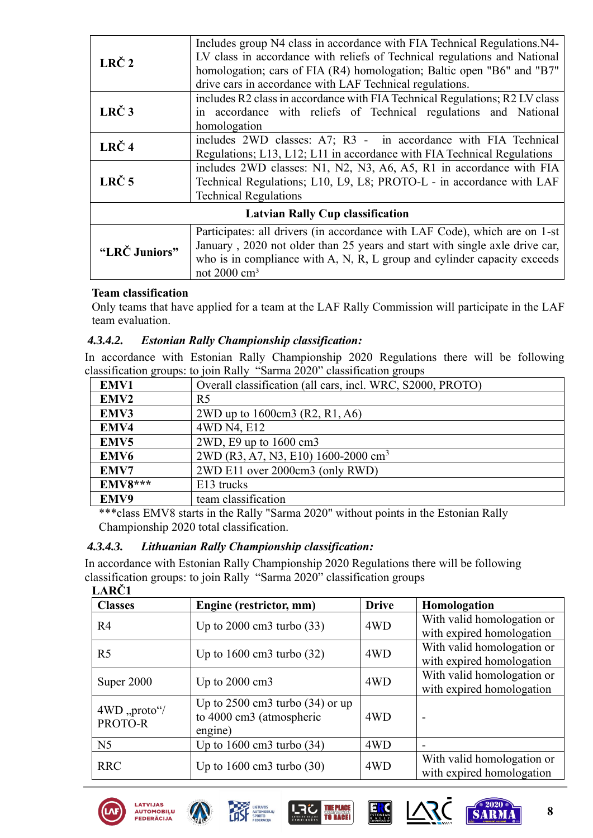| LRČ <sub>2</sub>                        | Includes group N4 class in accordance with FIA Technical Regulations. N4-<br>LV class in accordance with reliefs of Technical regulations and National<br>homologation; cars of FIA (R4) homologation; Baltic open "B6" and "B7"<br>drive cars in accordance with LAF Technical regulations. |  |  |  |
|-----------------------------------------|----------------------------------------------------------------------------------------------------------------------------------------------------------------------------------------------------------------------------------------------------------------------------------------------|--|--|--|
| LRČ <sub>3</sub>                        | includes R2 class in accordance with FIA Technical Regulations; R2 LV class<br>in accordance with reliefs of Technical regulations and National<br>homologation                                                                                                                              |  |  |  |
| LRČ <sub>4</sub>                        | includes 2WD classes: A7; R3 - in accordance with FIA Technical<br>Regulations; L13, L12; L11 in accordance with FIA Technical Regulations                                                                                                                                                   |  |  |  |
| LRČ <sub>5</sub>                        | includes 2WD classes: N1, N2, N3, A6, A5, R1 in accordance with FIA<br>Technical Regulations; L10, L9, L8; PROTO-L - in accordance with LAF<br><b>Technical Regulations</b>                                                                                                                  |  |  |  |
| <b>Latvian Rally Cup classification</b> |                                                                                                                                                                                                                                                                                              |  |  |  |
| "LRČ Juniors"                           | Participates: all drivers (in accordance with LAF Code), which are on 1-st<br>January, 2020 not older than 25 years and start with single axle drive car,<br>who is in compliance with A, N, R, L group and cylinder capacity exceeds<br>not 2000 cm <sup>3</sup>                            |  |  |  |

#### **Team classification**

Only teams that have applied for a team at the LAF Rally Commission will participate in the LAF team evaluation.

#### *4.3.4.2. Estonian Rally Championship classification:*

In accordance with Estonian Rally Championship 2020 Regulations there will be following classification groups: to join Rally "Sarma 2020" classification groups

| EMV1             | Overall classification (all cars, incl. WRC, S2000, PROTO) |
|------------------|------------------------------------------------------------|
| EMV2             | R <sub>5</sub>                                             |
| EMV3             | 2WD up to 1600cm3 (R2, R1, A6)                             |
| EMV4             | 4WD N4, E12                                                |
| EMV <sub>5</sub> | 2WD, E9 up to 1600 cm3                                     |
| EMV <sub>6</sub> | 2WD (R3, A7, N3, E10) 1600-2000 cm <sup>3</sup>            |
| EMV7             | 2WD E11 over 2000cm3 (only RWD)                            |
| <b>EMV8***</b>   | E13 trucks                                                 |
| EMV9             | team classification                                        |

\*\*\*class EMV8 starts in the Rally "Sarma 2020" without points in the Estonian Rally Championship 2020 total classification.

#### *4.3.4.3. Lithuanian Rally Championship classification:*

In accordance with Estonian Rally Championship 2020 Regulations there will be following classification groups: to join Rally "Sarma 2020" classification groups **LARČ1**

| LAKU                     |                                                                                     |              |                                                         |
|--------------------------|-------------------------------------------------------------------------------------|--------------|---------------------------------------------------------|
| <b>Classes</b>           | Engine (restrictor, mm)                                                             | <b>Drive</b> | Homologation                                            |
| R <sub>4</sub>           | Up to $2000 \text{ cm}$ 3 turbo $(33)$                                              | 4WD          | With valid homologation or<br>with expired homologation |
| R <sub>5</sub>           | Up to $1600 \text{ cm}$ 3 turbo $(32)$                                              | 4WD          | With valid homologation or<br>with expired homologation |
| Super 2000               | Up to $2000 \text{ cm}$                                                             | 4WD          | With valid homologation or<br>with expired homologation |
| 4WD, proto''/<br>PROTO-R | Up to $2500 \text{ cm}$ 3 turbo $(34)$ or up<br>to 4000 cm3 (atmospheric<br>engine) | 4WD          | $\overline{\phantom{0}}$                                |
| N <sub>5</sub>           | Up to $1600 \text{ cm}$ 3 turbo $(34)$                                              | 4WD          | $\overline{\phantom{0}}$                                |
| <b>RRC</b>               | Up to $1600 \text{ cm}$ 3 turbo $(30)$                                              | 4WD          | With valid homologation or<br>with expired homologation |





LATVIJAS









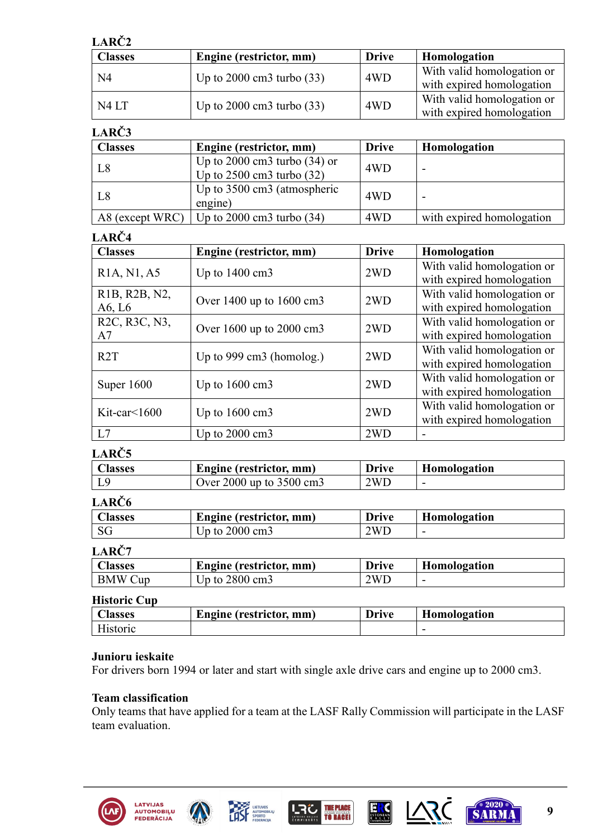| LARČ <sub>2</sub> |                                        |              |                                                         |  |  |
|-------------------|----------------------------------------|--------------|---------------------------------------------------------|--|--|
| <b>Classes</b>    | Engine (restrictor, mm)                | <b>Drive</b> | Homologation                                            |  |  |
| N <sub>4</sub>    | Up to $2000 \text{ cm}$ 3 turbo $(33)$ | 4WD          | With valid homologation or<br>with expired homologation |  |  |
| N4LT              | Up to $2000 \text{ cm}$ 3 turbo $(33)$ | 4WD          | With valid homologation or<br>with expired homologation |  |  |

# **LARČ3**

| <b>Classes</b> | Engine (restrictor, mm)                                                             | <b>Drive</b> | Homologation              |
|----------------|-------------------------------------------------------------------------------------|--------------|---------------------------|
| L8             | Up to $2000 \text{ cm}$ 3 turbo $(34)$ or<br>Up to $2500 \text{ cm}$ 3 turbo $(32)$ | 4WD          | -                         |
| L <sub>8</sub> | Up to $3500 \text{ cm}$ (atmospheric<br>engine)                                     | 4WD          | -                         |
|                | A8 (except WRC)   Up to $2000 \text{ cm}$ 3 turbo (34)                              | 4WD          | with expired homologation |

# **LARČ4**

| <b>Classes</b>                                       | Engine (restrictor, mm)      | <b>Drive</b> | Homologation               |
|------------------------------------------------------|------------------------------|--------------|----------------------------|
| R <sub>1</sub> A, N <sub>1</sub> , A <sub>5</sub>    | Up to $1400 \text{ cm}$ 3    | 2WD          | With valid homologation or |
|                                                      |                              |              | with expired homologation  |
| R <sub>1</sub> B, R <sub>2</sub> B, N <sub>2</sub> , | Over $1400$ up to $1600$ cm3 | 2WD          | With valid homologation or |
| A6, L6                                               |                              |              | with expired homologation  |
| R <sub>2</sub> C, R <sub>3</sub> C, N <sub>3</sub> , | Over $1600$ up to $2000$ cm3 | 2WD          | With valid homologation or |
| A7                                                   |                              |              | with expired homologation  |
| R <sub>2</sub> T                                     | Up to 999 cm3 (homolog.)     | 2WD          | With valid homologation or |
|                                                      |                              |              | with expired homologation  |
| Super $1600$                                         | Up to $1600 \text{ cm}$ 3    | 2WD          | With valid homologation or |
|                                                      |                              |              | with expired homologation  |
| Kit-car $\leq 1600$                                  | Up to $1600 \text{ cm}$ 3    | 2WD          | With valid homologation or |
|                                                      |                              |              | with expired homologation  |
| L7                                                   | Up to $2000 \text{ cm}$ 3    | 2WD          |                            |

# **LARČ5**

| Alasses | Engine (restrictor, mm)           | <b>Drive</b> | Homologation |
|---------|-----------------------------------|--------------|--------------|
|         | Over 2000 up to $3500 \text{ cm}$ | 2WD          | -            |

# **LARČ6**

| Alasses | Engine (restrictor, mm) | <b>Drive</b> | Homologation |
|---------|-------------------------|--------------|--------------|
| SG      | $Jp$ to 2000 cm3        | 2WD          | -            |

# **LARČ7**

| <b>Lasses</b>            | Engine (restrictor, mm) | <b>Drive</b> | Homologation |
|--------------------------|-------------------------|--------------|--------------|
| <b>BMW</b><br><b>Jup</b> | 2800 cm3<br>Jp to ⊺     | 2WL          | -            |

#### **Historic Cup**

| lasses | <b>Engine</b> (restrictor,<br>mm) | <b>IMITO</b> | --<br>Homologation |
|--------|-----------------------------------|--------------|--------------------|
|        |                                   |              | -                  |

#### **Junioru ieskaite**

For drivers born 1994 or later and start with single axle drive cars and engine up to 2000 cm3.

#### **Team classification**

Only teams that have applied for a team at the LASF Rally Commission will participate in the LASF team evaluation.











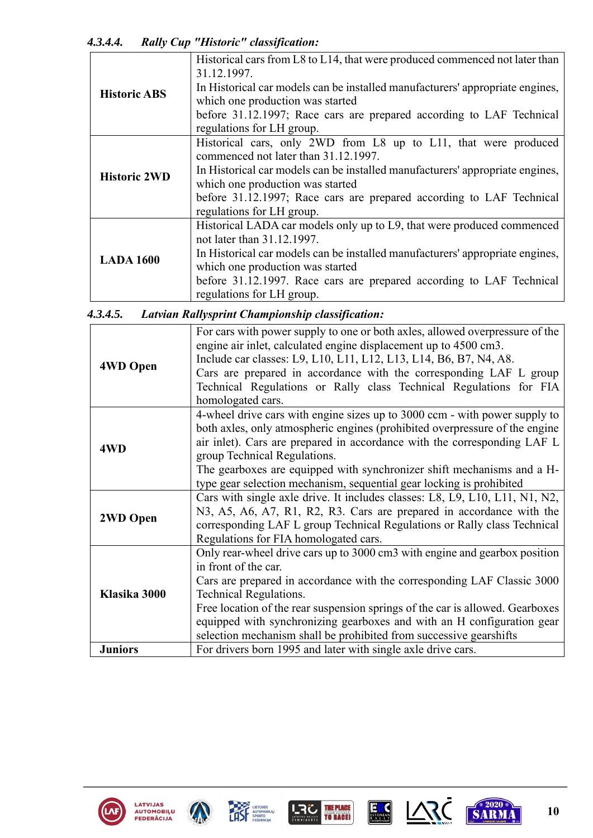*4.3.4.4. Rally Cup "Historic" classification:*

|                     | $\sim$                                                                                     |
|---------------------|--------------------------------------------------------------------------------------------|
|                     | Historical cars from L8 to L14, that were produced commenced not later than<br>31.12.1997. |
| <b>Historic ABS</b> | In Historical car models can be installed manufacturers' appropriate engines,              |
|                     | which one production was started                                                           |
|                     | before 31.12.1997; Race cars are prepared according to LAF Technical                       |
|                     | regulations for LH group.                                                                  |
|                     | Historical cars, only 2WD from L8 up to L11, that were produced                            |
|                     | commenced not later than 31.12.1997.                                                       |
| <b>Historic 2WD</b> | In Historical car models can be installed manufacturers' appropriate engines,              |
|                     | which one production was started                                                           |
|                     | before 31.12.1997; Race cars are prepared according to LAF Technical                       |
|                     | regulations for LH group.                                                                  |
|                     | Historical LADA car models only up to L9, that were produced commenced                     |
|                     | not later than 31.12.1997.                                                                 |
| <b>LADA 1600</b>    | In Historical car models can be installed manufacturers' appropriate engines,              |
|                     | which one production was started                                                           |
|                     | before 31.12.1997. Race cars are prepared according to LAF Technical                       |
|                     | regulations for LH group.                                                                  |

| 4.3.4.5. |  | Latvian Rallysprint Championship classification: |  |
|----------|--|--------------------------------------------------|--|
|          |  |                                                  |  |

|                 | For cars with power supply to one or both axles, allowed overpressure of the<br>engine air inlet, calculated engine displacement up to 4500 cm3. |
|-----------------|--------------------------------------------------------------------------------------------------------------------------------------------------|
| <b>4WD Open</b> | Include car classes: L9, L10, L11, L12, L13, L14, B6, B7, N4, A8.                                                                                |
|                 | Cars are prepared in accordance with the corresponding LAF L group                                                                               |
|                 | Technical Regulations or Rally class Technical Regulations for FIA                                                                               |
|                 | homologated cars.                                                                                                                                |
|                 | 4-wheel drive cars with engine sizes up to 3000 ccm - with power supply to                                                                       |
|                 | both axles, only atmospheric engines (prohibited overpressure of the engine                                                                      |
| 4WD             | air inlet). Cars are prepared in accordance with the corresponding LAF L                                                                         |
|                 | group Technical Regulations.                                                                                                                     |
|                 | The gearboxes are equipped with synchronizer shift mechanisms and a H-                                                                           |
|                 | type gear selection mechanism, sequential gear locking is prohibited                                                                             |
|                 | Cars with single axle drive. It includes classes: L8, L9, L10, L11, N1, N2,                                                                      |
| 2WD Open        | N3, A5, A6, A7, R1, R2, R3. Cars are prepared in accordance with the                                                                             |
|                 | corresponding LAF L group Technical Regulations or Rally class Technical                                                                         |
|                 | Regulations for FIA homologated cars.                                                                                                            |
|                 | Only rear-wheel drive cars up to 3000 cm3 with engine and gearbox position                                                                       |
|                 | in front of the car.                                                                                                                             |
|                 | Cars are prepared in accordance with the corresponding LAF Classic 3000                                                                          |
| Klasika 3000    | <b>Technical Regulations.</b>                                                                                                                    |
|                 | Free location of the rear suspension springs of the car is allowed. Gearboxes                                                                    |
|                 | equipped with synchronizing gearboxes and with an H configuration gear                                                                           |
|                 | selection mechanism shall be prohibited from successive gearshifts                                                                               |
| <b>Juniors</b>  | For drivers born 1995 and later with single axle drive cars.                                                                                     |











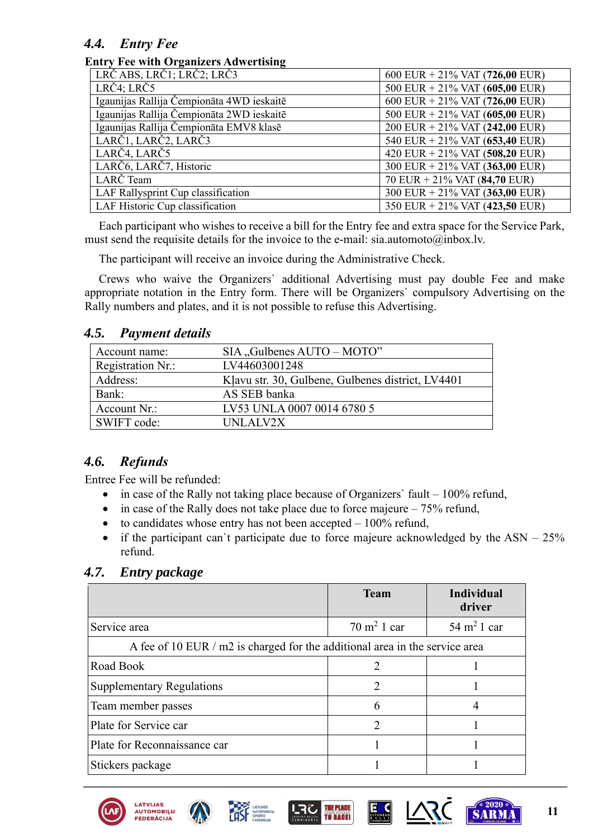# *4.4. Entry Fee*

#### **Entry Fee with Organizers Adwertising**

| LRČABS, LRČ1; LRČ2; LRČ3                  | 600 EUR + 21% VAT $(726,00$ EUR)  |
|-------------------------------------------|-----------------------------------|
| LRČ4; LRČ5                                | 500 EUR + 21% VAT $(605,00$ EUR)  |
| Igaunijas Rallija Čempionāta 4WD ieskaitē | 600 EUR + 21% VAT (726,00 EUR)    |
| Igaunijas Rallija Čempionāta 2WD ieskaitē | 500 EUR + $21\%$ VAT (605,00 EUR) |
| Igaunijas Rallija Čempionāta EMV8 klasē   | 200 EUR + 21% VAT $(242,00$ EUR)  |
| LARČ1, LARČ2, LARČ3                       | 540 EUR + 21% VAT (653,40 EUR)    |
| LARČ4, LARČ5                              | 420 EUR + 21% VAT $(508,20$ EUR)  |
| LARČ6, LARČ7, Historic                    | 300 EUR + $21\%$ VAT (363,00 EUR) |
| LARČ Team                                 | 70 EUR + $21\%$ VAT (84,70 EUR)   |
| LAF Rallysprint Cup classification        | 300 EUR + $21\%$ VAT (363,00 EUR) |
| LAF Historic Cup classification           | 350 EUR + 21% VAT (423,50 EUR)    |

Each participant who wishes to receive a bill for the Entry fee and extra space for the Service Park, must send the requisite details for the invoice to the e-mail: sia.automoto@inbox.lv.

The participant will receive an invoice during the Administrative Check.

Crews who waive the Organizers` additional Advertising must pay double Fee and make appropriate notation in the Entry form. There will be Organizers` compulsory Advertising on the Rally numbers and plates, and it is not possible to refuse this Advertising.

#### *4.5. Payment details*

| Account name:     | SIA, Gulbenes AUTO – MOTO"                        |
|-------------------|---------------------------------------------------|
| Registration Nr.: | LV44603001248                                     |
| Address:          | Klavu str. 30, Gulbene, Gulbenes district, LV4401 |
| Bank:             | AS SEB banka                                      |
| Account Nr.:      | LV53 UNLA 0007 0014 6780 5                        |
| SWIFT code:       | UNLALV2X                                          |

# *4.6. Refunds*

Entree Fee will be refunded:

- in case of the Rally not taking place because of Organizers' fault  $-100\%$  refund,
- in case of the Rally does not take place due to force majeure  $-75%$  refund,
- to candidates whose entry has not been accepted  $-100\%$  refund,
- if the participant can't participate due to force majeure acknowledged by the  $ASN 25%$ refund.

| 4.7. |  | <b>Entry package</b> |
|------|--|----------------------|
|------|--|----------------------|

|                                                                             | <b>Team</b>                 | <b>Individual</b><br>driver |
|-----------------------------------------------------------------------------|-----------------------------|-----------------------------|
| Service area                                                                | $70 \text{ m}^2$ 1 car      | $54 \text{ m}^2$ 1 car      |
| A fee of 10 EUR / m2 is charged for the additional area in the service area |                             |                             |
| Road Book                                                                   | $\mathcal{D}_{\mathcal{L}}$ |                             |
| <b>Supplementary Regulations</b>                                            | $\mathcal{D}_{\mathcal{L}}$ |                             |
| Team member passes                                                          | 6                           |                             |
| Plate for Service car                                                       | າ                           |                             |
| Plate for Reconnaissance car                                                |                             |                             |
| Stickers package                                                            |                             |                             |











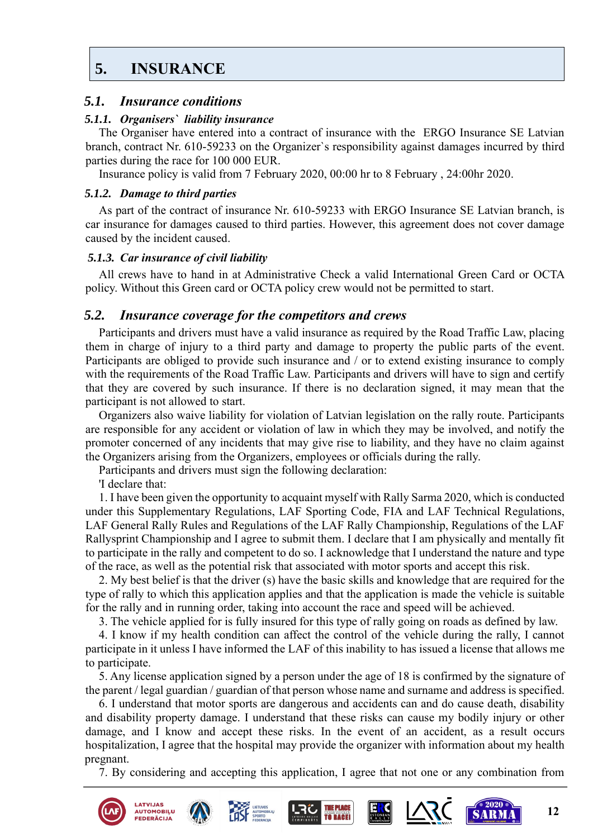# <span id="page-11-0"></span>**5. [INSURANCE](#page-1-0)**

#### *5.1. Insurance conditions*

#### *5.1.1. Organisers` liability insurance*

The Organiser have entered into a contract of insurance with the ERGO Insurance SE Latvian branch, contract Nr. 610-59233 on the Organizer`s responsibility against damages incurred by third parties during the race for 100 000 EUR.

Insurance policy is valid from 7 February 2020, 00:00 hr to 8 February , 24:00hr 2020.

#### *5.1.2. Damage to third parties*

As part of the contract of insurance Nr. 610-59233 with ERGO Insurance SE Latvian branch, is car insurance for damages caused to third parties. However, this agreement does not cover damage caused by the incident caused.

#### *5.1.3. Car insurance of civil liability*

All crews have to hand in at Administrative Check a valid International Green Card or OCTA policy. Without this Green card or OCTA policy crew would not be permitted to start.

#### *5.2. Insurance coverage for the competitors and crews*

Participants and drivers must have a valid insurance as required by the Road Traffic Law, placing them in charge of injury to a third party and damage to property the public parts of the event. Participants are obliged to provide such insurance and / or to extend existing insurance to comply with the requirements of the Road Traffic Law. Participants and drivers will have to sign and certify that they are covered by such insurance. If there is no declaration signed, it may mean that the participant is not allowed to start.

Organizers also waive liability for violation of Latvian legislation on the rally route. Participants are responsible for any accident or violation of law in which they may be involved, and notify the promoter concerned of any incidents that may give rise to liability, and they have no claim against the Organizers arising from the Organizers, employees or officials during the rally.

Participants and drivers must sign the following declaration:

'I declare that:

1. I have been given the opportunity to acquaint myself with Rally Sarma 2020, which is conducted under this Supplementary Regulations, LAF Sporting Code, FIA and LAF Technical Regulations, LAF General Rally Rules and Regulations of the LAF Rally Championship, Regulations of the LAF Rallysprint Championship and I agree to submit them. I declare that I am physically and mentally fit to participate in the rally and competent to do so. I acknowledge that I understand the nature and type of the race, as well as the potential risk that associated with motor sports and accept this risk.

2. My best belief is that the driver (s) have the basic skills and knowledge that are required for the type of rally to which this application applies and that the application is made the vehicle is suitable for the rally and in running order, taking into account the race and speed will be achieved.

3. The vehicle applied for is fully insured for this type of rally going on roads as defined by law.

4. I know if my health condition can affect the control of the vehicle during the rally, I cannot participate in it unless I have informed the LAF of this inability to has issued a license that allows me to participate.

5. Any license application signed by a person under the age of 18 is confirmed by the signature of the parent / legal guardian / guardian of that person whose name and surname and address is specified.

6. I understand that motor sports are dangerous and accidents can and do cause death, disability and disability property damage. I understand that these risks can cause my bodily injury or other damage, and I know and accept these risks. In the event of an accident, as a result occurs hospitalization, I agree that the hospital may provide the organizer with information about my health pregnant.

7. By considering and accepting this application, I agree that not one or any combination from

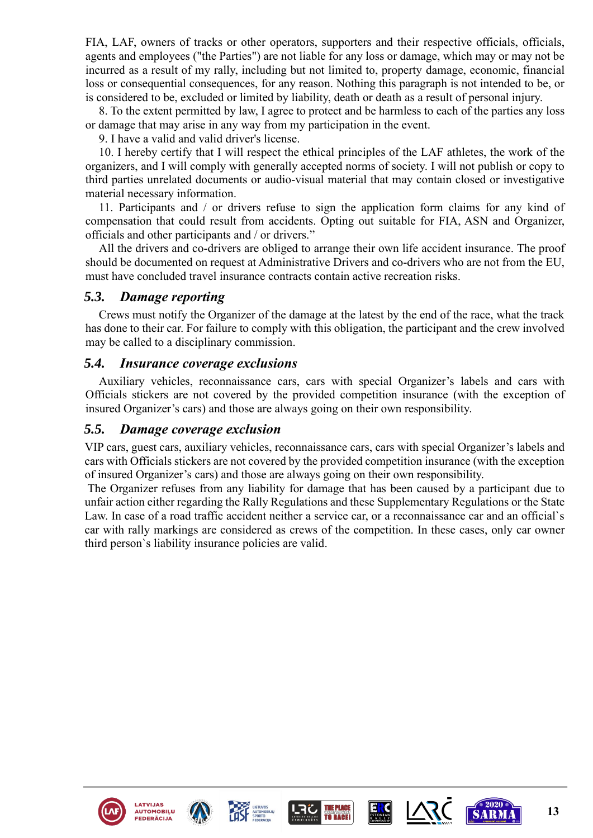FIA, LAF, owners of tracks or other operators, supporters and their respective officials, officials, agents and employees ("the Parties") are not liable for any loss or damage, which may or may not be incurred as a result of my rally, including but not limited to, property damage, economic, financial loss or consequential consequences, for any reason. Nothing this paragraph is not intended to be, or is considered to be, excluded or limited by liability, death or death as a result of personal injury.

8. To the extent permitted by law, I agree to protect and be harmless to each of the parties any loss or damage that may arise in any way from my participation in the event.

9. I have a valid and valid driver's license.

10. I hereby certify that I will respect the ethical principles of the LAF athletes, the work of the organizers, and I will comply with generally accepted norms of society. I will not publish or copy to third parties unrelated documents or audio-visual material that may contain closed or investigative material necessary information.

11. Participants and / or drivers refuse to sign the application form claims for any kind of compensation that could result from accidents. Opting out suitable for FIA, ASN and Organizer, officials and other participants and / or drivers."

All the drivers and co-drivers are obliged to arrange their own life accident insurance. The proof should be documented on request at Administrative Drivers and co-drivers who are not from the EU, must have concluded travel insurance contracts contain active recreation risks.

#### *5.3. Damage reporting*

Crews must notify the Organizer of the damage at the latest by the end of the race, what the track has done to their car. For failure to comply with this obligation, the participant and the crew involved may be called to a disciplinary commission.

#### *5.4. Insurance coverage exclusions*

Auxiliary vehicles, reconnaissance cars, cars with special Organizer's labels and cars with Officials stickers are not covered by the provided competition insurance (with the exception of insured Organizer's cars) and those are always going on their own responsibility.

#### *5.5. Damage coverage exclusion*

VIP cars, guest cars, auxiliary vehicles, reconnaissance cars, cars with special Organizer's labels and cars with Officials stickers are not covered by the provided competition insurance (with the exception of insured Organizer's cars) and those are always going on their own responsibility.

The Organizer refuses from any liability for damage that has been caused by a participant due to unfair action either regarding the Rally Regulations and these Supplementary Regulations or the State Law. In case of a road traffic accident neither a service car, or a reconnaissance car and an official`s car with rally markings are considered as crews of the competition. In these cases, only car owner third person`s liability insurance policies are valid.











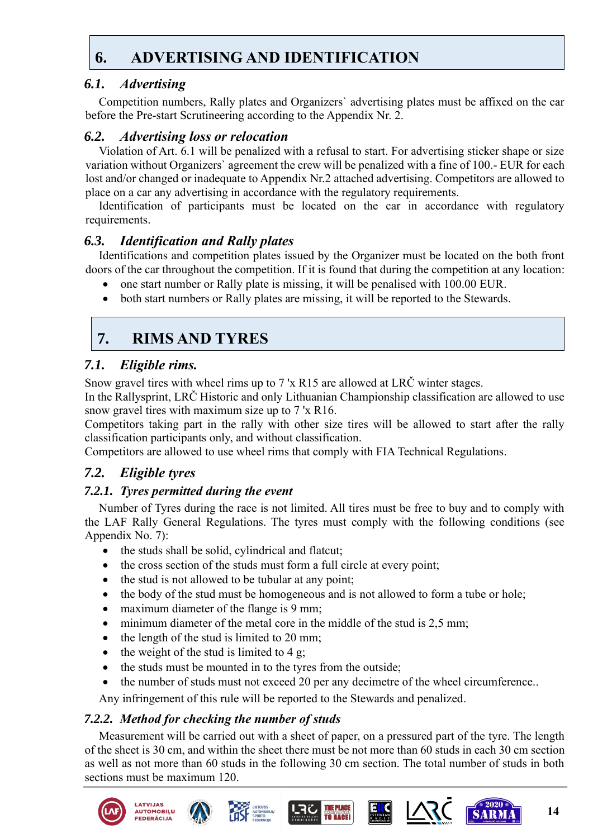# <span id="page-13-0"></span>**6. [ADVERTISING AND IDENTIFICATION](#page-1-0)**

# *6.1. Advertising*

Competition numbers, Rally plates and Organizers` advertising plates must be affixed on the car before the Pre-start Scrutineering according to the Appendix Nr. 2.

# *6.2. Advertising loss or relocation*

Violation of Art. 6.1 will be penalized with a refusal to start. For advertising sticker shape or size variation without Organizers` agreement the crew will be penalized with a fine of 100.- EUR for each lost and/or changed or inadequate to Appendix Nr.2 attached advertising. Competitors are allowed to place on a car any advertising in accordance with the regulatory requirements.

Identification of participants must be located on the car in accordance with regulatory requirements.

# *6.3. Identification and Rally plates*

Identifications and competition plates issued by the Organizer must be located on the both front doors of the car throughout the competition. If it is found that during the competition at any location:

- one start number or Rally plate is missing, it will be penalised with 100.00 EUR.
- both start numbers or Rally plates are missing, it will be reported to the Stewards.

# <span id="page-13-1"></span>**7. [RIMS AND TYRES](#page-1-0)**

# *7.1. Eligible rims.*

Snow gravel tires with wheel rims up to 7 'x R15 are allowed at LRČ winter stages.

In the Rallysprint, LRČ Historic and only Lithuanian Championship classification are allowed to use snow gravel tires with maximum size up to 7 'x R16.

Competitors taking part in the rally with other size tires will be allowed to start after the rally classification participants only, and without classification.

Competitors are allowed to use wheel rims that comply with FIA Technical Regulations.

# *7.2. Eligible tyres*

# *7.2.1. Tyres permitted during the event*

Number of Tyres during the race is not limited. All tires must be free to buy and to comply with the LAF Rally General Regulations. The tyres must comply with the following conditions (see Appendix No. 7):

- the studs shall be solid, cylindrical and flatcut;
- the cross section of the studs must form a full circle at every point;
- the stud is not allowed to be tubular at any point;
- the body of the stud must be homogeneous and is not allowed to form a tube or hole;
- maximum diameter of the flange is 9 mm;
- minimum diameter of the metal core in the middle of the stud is 2,5 mm;
- the length of the stud is limited to 20 mm;
- the weight of the stud is limited to  $4 \text{ g}$ ;
- the studs must be mounted in to the tyres from the outside;
- the number of studs must not exceed 20 per any decimetre of the wheel circumference..

Any infringement of this rule will be reported to the Stewards and penalized.

# *7.2.2. Method for checking the number of studs*

Measurement will be carried out with a sheet of paper, on a pressured part of the tyre. The length of the sheet is 30 cm, and within the sheet there must be not more than 60 studs in each 30 cm section as well as not more than 60 studs in the following 30 cm section. The total number of studs in both sections must be maximum 120.





**EDERĀCIJ** 







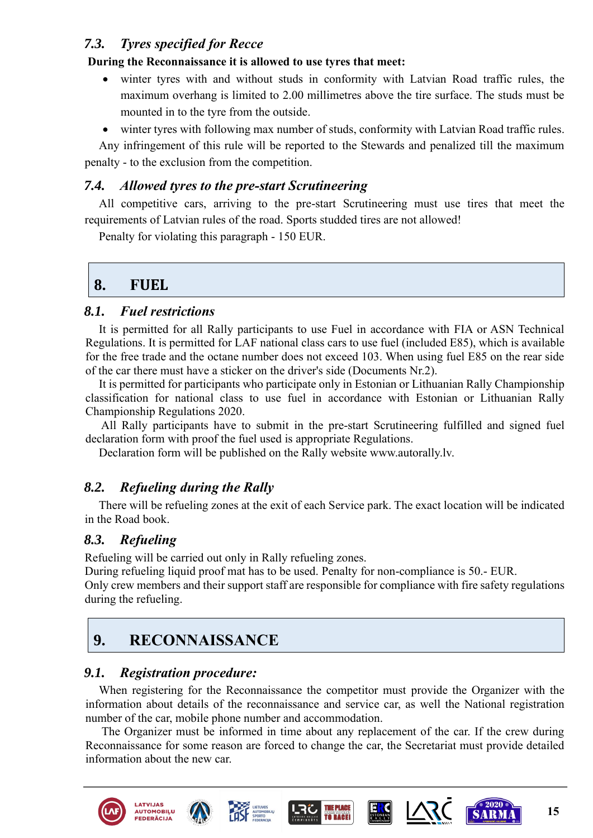# *7.3. Tyres specified for Recce*

#### **During the Reconnaissance it is allowed to use tyres that meet:**

- winter tyres with and without studs in conformity with Latvian Road traffic rules, the maximum overhang is limited to 2.00 millimetres above the tire surface. The studs must be mounted in to the tyre from the outside.
- winter tyres with following max number of studs, conformity with Latvian Road traffic rules.

Any infringement of this rule will be reported to the Stewards and penalized till the maximum penalty - to the exclusion from the competition.

### *7.4. Allowed tyres to the pre-start Scrutineering*

All competitive cars, arriving to the pre-start Scrutineering must use tires that meet the requirements of Latvian rules of the road. Sports studded tires are not allowed!

Penalty for violating this paragraph - 150 EUR.

# <span id="page-14-0"></span>**8. F[UEL](#page-1-0)**

### *8.1. Fuel restrictions*

It is permitted for all Rally participants to use Fuel in accordance with FIA or ASN Technical Regulations. It is permitted for LAF national class cars to use fuel (included E85), which is available for the free trade and the octane number does not exceed 103. When using fuel E85 on the rear side of the car there must have a sticker on the driver's side (Documents Nr.2).

It is permitted for participants who participate only in Estonian or Lithuanian Rally Championship classification for national class to use fuel in accordance with Estonian or Lithuanian Rally Championship Regulations 2020.

All Rally participants have to submit in the pre-start Scrutineering fulfilled and signed fuel declaration form with proof the fuel used is appropriate Regulations.

Declaration form will be published on the Rally website www.autorally.lv.

# *8.2. Refueling during the Rally*

There will be refueling zones at the exit of each Service park. The exact location will be indicated in the Road book.

# *8.3. Refueling*

Refueling will be carried out only in Rally refueling zones.

During refueling liquid proof mat has to be used. Penalty for non-compliance is 50.- EUR.

Only crew members and their support staff are responsible for compliance with fire safety regulations during the refueling.

# <span id="page-14-1"></span>**9. [RECONNAISSANCE](#page-1-0)**

# *9.1. Registration procedure:*

When registering for the Reconnaissance the competitor must provide the Organizer with the information about details of the reconnaissance and service car, as well the National registration number of the car, mobile phone number and accommodation.

The Organizer must be informed in time about any replacement of the car. If the crew during Reconnaissance for some reason are forced to change the car, the Secretariat must provide detailed information about the new car.

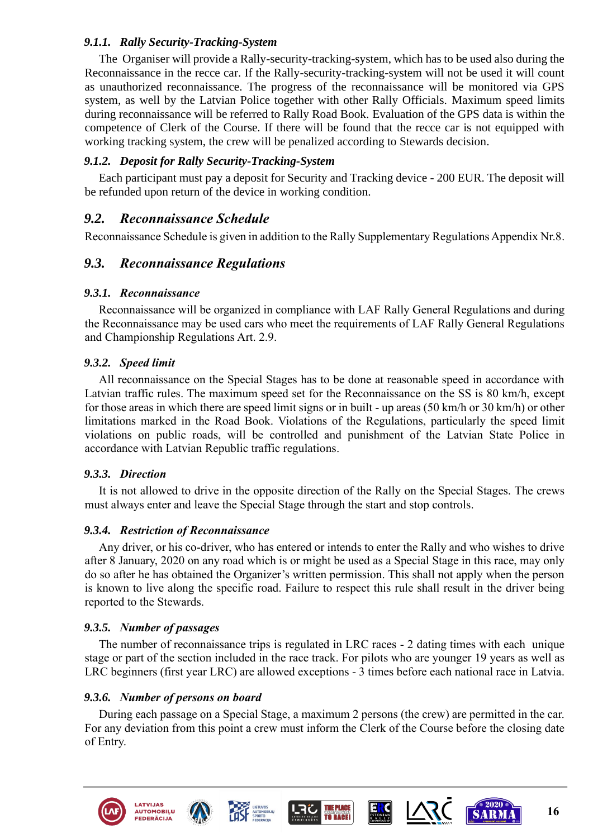#### *9.1.1. Rally Security-Tracking-System*

The Organiser will provide a Rally-security-tracking-system, which has to be used also during the Reconnaissance in the recce car. If the Rally-security-tracking-system will not be used it will count as unauthorized reconnaissance. The progress of the reconnaissance will be monitored via GPS system, as well by the Latvian Police together with other Rally Officials. Maximum speed limits during reconnaissance will be referred to Rally Road Book. Evaluation of the GPS data is within the competence of Clerk of the Course. If there will be found that the recce car is not equipped with working tracking system, the crew will be penalized according to Stewards decision.

#### *9.1.2. Deposit for Rally Security-Tracking-System*

Each participant must pay a deposit for Security and Tracking device - 200 EUR. The deposit will be refunded upon return of the device in working condition.

### *9.2. Reconnaissance Schedule*

Reconnaissance Schedule is given in addition to the Rally Supplementary Regulations Appendix Nr.8.

### *9.3. Reconnaissance Regulations*

#### *9.3.1. Reconnaissance*

Reconnaissance will be organized in compliance with LAF Rally General Regulations and during the Reconnaissance may be used cars who meet the requirements of LAF Rally General Regulations and Championship Regulations Art. 2.9.

#### *9.3.2. Speed limit*

All reconnaissance on the Special Stages has to be done at reasonable speed in accordance with Latvian traffic rules. The maximum speed set for the Reconnaissance on the SS is 80 km/h, except for those areas in which there are speed limit signs or in built - up areas (50 km/h or 30 km/h) or other limitations marked in the Road Book. Violations of the Regulations, particularly the speed limit violations on public roads, will be controlled and punishment of the Latvian State Police in accordance with Latvian Republic traffic regulations.

#### *9.3.3. Direction*

It is not allowed to drive in the opposite direction of the Rally on the Special Stages. The crews must always enter and leave the Special Stage through the start and stop controls.

#### *9.3.4. Restriction of Reconnaissance*

Any driver, or his co-driver, who has entered or intends to enter the Rally and who wishes to drive after 8 January, 2020 on any road which is or might be used as a Special Stage in this race, may only do so after he has obtained the Organizer's written permission. This shall not apply when the person is known to live along the specific road. Failure to respect this rule shall result in the driver being reported to the Stewards.

#### *9.3.5. Number of passages*

The number of reconnaissance trips is regulated in LRC races - 2 dating times with each unique stage or part of the section included in the race track. For pilots who are younger 19 years as well as LRC beginners (first year LRC) are allowed exceptions - 3 times before each national race in Latvia.

#### *9.3.6. Number of persons on board*

During each passage on a Special Stage, a maximum 2 persons (the crew) are permitted in the car. For any deviation from this point a crew must inform the Clerk of the Course before the closing date of Entry.











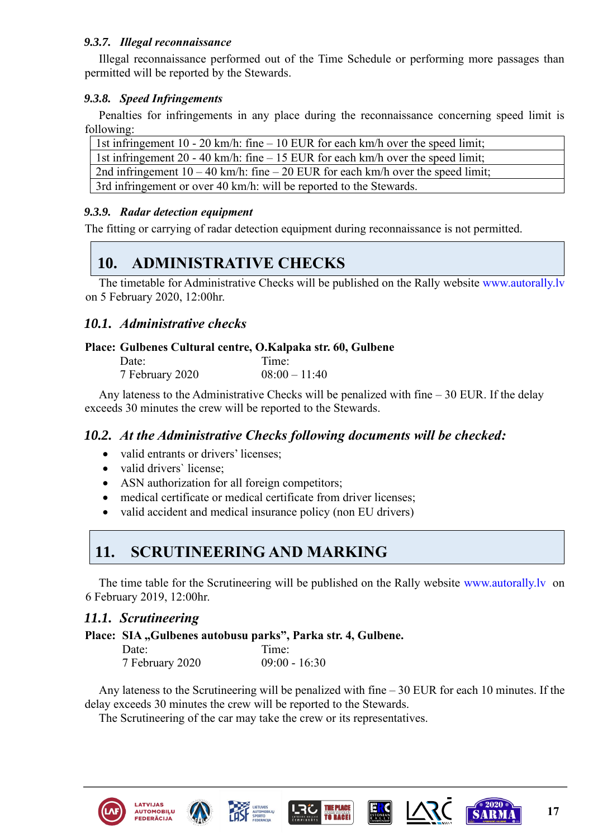#### *9.3.7. Illegal reconnaissance*

Illegal reconnaissance performed out of the Time Schedule or performing more passages than permitted will be reported by the Stewards.

#### *9.3.8. Speed Infringements*

Penalties for infringements in any place during the reconnaissance concerning speed limit is following:

| 1st infringement 10 - 20 km/h: fine $-10$ EUR for each km/h over the speed limit;   |
|-------------------------------------------------------------------------------------|
| 1st infringement 20 - 40 km/h: fine $-15$ EUR for each km/h over the speed limit;   |
| 2nd infringement $10 - 40$ km/h: fine $-20$ EUR for each km/h over the speed limit; |
| 3rd infringement or over 40 km/h: will be reported to the Stewards.                 |

#### *9.3.9. Radar detection equipment*

The fitting or carrying of radar detection equipment during reconnaissance is not permitted.

# <span id="page-16-0"></span>**10. [ADMINISTRATIVE CHECKS](#page-1-0)**

The timetable for Administrative Checks will be published on the Rally website [www.autorally.lv](http://www.autorally.lv/) on 5 February 2020, 12:00hr.

# *10.1. Administrative checks*

#### **Place: Gulbenes Cultural centre, O.Kalpaka str. 60, Gulbene**

| Date:           | Time:           |
|-----------------|-----------------|
| 7 February 2020 | $08:00 - 11:40$ |

Any lateness to the Administrative Checks will be penalized with fine – 30 EUR. If the delay exceeds 30 minutes the crew will be reported to the Stewards.

#### *10.2. At the Administrative Checks following documents will be checked:*

- valid entrants or drivers' licenses;
- valid drivers' license;
- ASN authorization for all foreign competitors;
- medical certificate or medical certificate from driver licenses;
- valid accident and medical insurance policy (non EU drivers)

# <span id="page-16-1"></span>**11. [SCRUTINEERING AND MARKING](#page-1-0)**

The time table for the Scrutineering will be published on the Rally website [www.autorally.lv](http://www.autorally.lv/) on 6 February 2019, 12:00hr.

#### *11.1. Scrutineering*

**Place:** SIA "Gulbenes autobusu parks", Parka str. 4, Gulbene.

| Date:           | Time:           |
|-----------------|-----------------|
| 7 February 2020 | $09:00 - 16:30$ |

Any lateness to the Scrutineering will be penalized with fine – 30 EUR for each 10 minutes. If the delay exceeds 30 minutes the crew will be reported to the Stewards.

The Scrutineering of the car may take the crew or its representatives.













**17**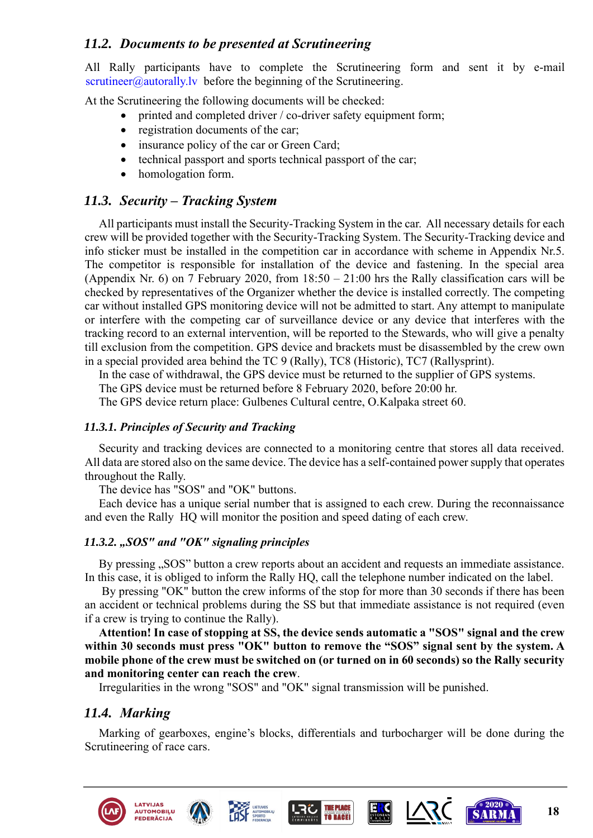# *11.2. Documents to be presented at Scrutineering*

All Rally participants have to complete the Scrutineering form and sent it by e-mail [scrutineer@autorally.lv](mailto:scrutineer@autorally.lv) before the beginning of the Scrutineering.

At the Scrutineering the following documents will be checked:

- printed and completed driver / co-driver safety equipment form;
- registration documents of the car;
- insurance policy of the car or Green Card;
- technical passport and sports technical passport of the car;
- homologation form.

# *11.3. Security – Tracking System*

All participants must install the Security-Tracking System in the car. All necessary details for each crew will be provided together with the Security-Tracking System. The Security-Tracking device and info sticker must be installed in the competition car in accordance with scheme in Appendix Nr.5. The competitor is responsible for installation of the device and fastening. In the special area (Appendix Nr. 6) on 7 February 2020, from  $18:50 - 21:00$  hrs the Rally classification cars will be checked by representatives of the Organizer whether the device is installed correctly. The competing car without installed GPS monitoring device will not be admitted to start. Any attempt to manipulate or interfere with the competing car of surveillance device or any device that interferes with the tracking record to an external intervention, will be reported to the Stewards, who will give a penalty till exclusion from the competition. GPS device and brackets must be disassembled by the crew own in a special provided area behind the TC 9 (Rally), TC8 (Historic), TC7 (Rallysprint).

In the case of withdrawal, the GPS device must be returned to the supplier of GPS systems.

The GPS device must be returned before 8 February 2020, before 20:00 hr.

The GPS device return place: Gulbenes Cultural centre, O.Kalpaka street 60.

#### *11.3.1. Principles of Security and Tracking*

Security and tracking devices are connected to a monitoring centre that stores all data received. All data are stored also on the same device. The device has a self-contained power supply that operates throughout the Rally.

The device has "SOS" and "OK" buttons.

Each device has a unique serial number that is assigned to each crew. During the reconnaissance and even the Rally HQ will monitor the position and speed dating of each crew.

# *11.3.2. "SOS" and "OK" signaling principles*

By pressing "SOS" button a crew reports about an accident and requests an immediate assistance. In this case, it is obliged to inform the Rally HQ, call the telephone number indicated on the label.

By pressing "OK" button the crew informs of the stop for more than 30 seconds if there has been an accident or technical problems during the SS but that immediate assistance is not required (even if a crew is trying to continue the Rally).

**Attention! In case of stopping at SS, the device sends automatic a "SOS" signal and the crew within 30 seconds must press "OK" button to remove the "SOS" signal sent by the system. A mobile phone of the crew must be switched on (or turned on in 60 seconds) so the Rally security and monitoring center can reach the crew**.

Irregularities in the wrong "SOS" and "OK" signal transmission will be punished.

# *11.4. Marking*

Marking of gearboxes, engine's blocks, differentials and turbocharger will be done during the Scrutineering of race cars.











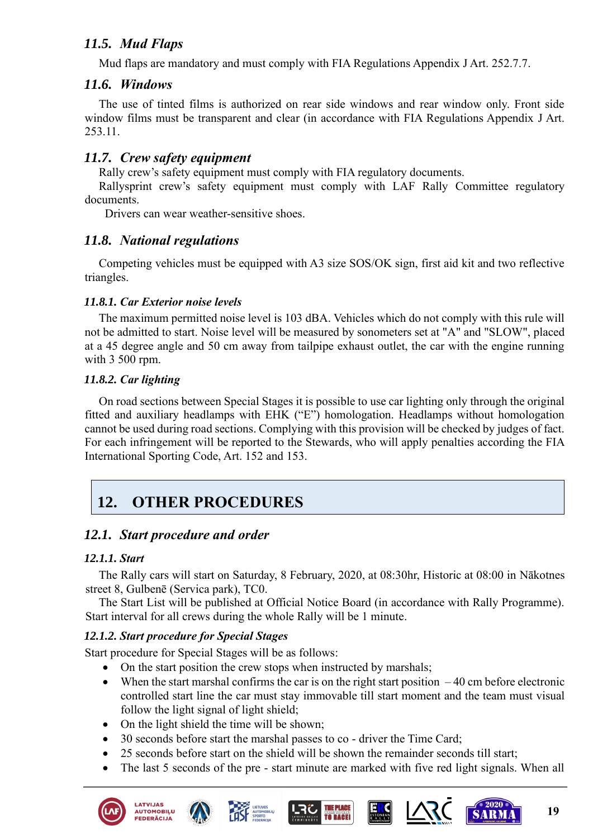# *11.5. Mud Flaps*

Mud flaps are mandatory and must comply with FIA Regulations Appendix J Art. 252.7.7.

### *11.6. Windows*

The use of tinted films is authorized on rear side windows and rear window only. Front side window films must be transparent and clear (in accordance with FIA Regulations Appendix J Art. 253.11.

# *11.7. Crew safety equipment*

Rally crew's safety equipment must comply with FIA regulatory documents.

Rallysprint crew's safety equipment must comply with LAF Rally Committee regulatory documents.

Drivers can wear weather-sensitive shoes.

### *11.8. National regulations*

Competing vehicles must be equipped with A3 size SOS/OK sign, first aid kit and two reflective triangles.

#### *11.8.1. Car Exterior noise levels*

The maximum permitted noise level is 103 dBA. Vehicles which do not comply with this rule will not be admitted to start. Noise level will be measured by sonometers set at "A" and "SLOW", placed at a 45 degree angle and 50 cm away from tailpipe exhaust outlet, the car with the engine running with 3 500 rpm.

#### *11.8.2. Car lighting*

On road sections between Special Stages it is possible to use car lighting only through the original fitted and auxiliary headlamps with EHK ("E") homologation. Headlamps without homologation cannot be used during road sections. Complying with this provision will be checked by judges of fact. For each infringement will be reported to the Stewards, who will apply penalties according the FIA International Sporting Code, Art. 152 and 153.

# <span id="page-18-0"></span>**12. [OTHER PROCEDURES](#page-1-0)**

# *12.1. Start procedure and order*

#### *12.1.1. Start*

The Rally cars will start on Saturday, 8 February, 2020, at 08:30hr, Historic at 08:00 in Nākotnes street 8, Gulbenē (Servica park), TC0.

The Start List will be published at Official Notice Board (in accordance with Rally Programme). Start interval for all crews during the whole Rally will be 1 minute.

#### *12.1.2. Start procedure for Special Stages*

Start procedure for Special Stages will be as follows:

- On the start position the crew stops when instructed by marshals;
- When the start marshal confirms the car is on the right start position  $-40$  cm before electronic controlled start line the car must stay immovable till start moment and the team must visual follow the light signal of light shield;
- On the light shield the time will be shown;
- 30 seconds before start the marshal passes to co driver the Time Card;
- 25 seconds before start on the shield will be shown the remainder seconds till start;
- The last 5 seconds of the pre start minute are marked with five red light signals. When all



**AUTOMOBIĻU** 

**EDERĀCIJ** 









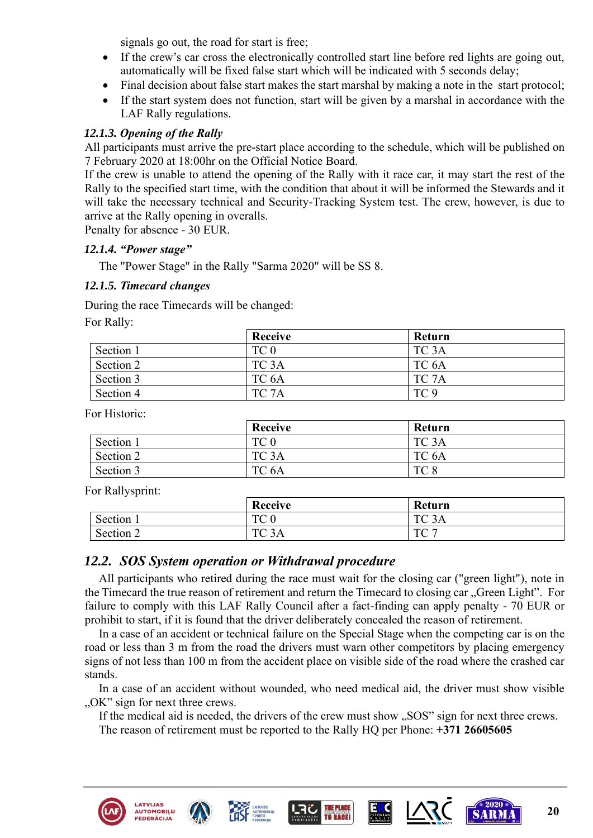signals go out, the road for start is free;

- If the crew's car cross the electronically controlled start line before red lights are going out, automatically will be fixed false start which will be indicated with 5 seconds delay;
- Final decision about false start makes the start marshal by making a note in the start protocol;
- If the start system does not function, start will be given by a marshal in accordance with the LAF Rally regulations.

#### *12.1.3. Opening of the Rally*

All participants must arrive the pre-start place according to the schedule, which will be published on 7 February 2020 at 18:00hr on the Official Notice Board.

If the crew is unable to attend the opening of the Rally with it race car, it may start the rest of the Rally to the specified start time, with the condition that about it will be informed the Stewards and it will take the necessary technical and Security-Tracking System test. The crew, however, is due to arrive at the Rally opening in overalls.

Penalty for absence - 30 EUR.

#### *12.1.4. "Power stage"*

The "Power Stage" in the Rally "Sarma 2020" will be SS 8.

#### *12.1.5. Timecard changes*

During the race Timecards will be changed:

For Rally:

|           | <b>Receive</b>    | Return          |
|-----------|-------------------|-----------------|
| Section 1 | TC 0              | TC 3A           |
| Section 2 | TC <sub>3</sub> A | TC 6A           |
| Section 3 | TC <sub>6</sub> A | TC 7A           |
| Section 4 | TC <sub>7</sub> A | TC <sub>9</sub> |

For Historic:

|           | Receive           | Return            |
|-----------|-------------------|-------------------|
| Section 1 | TC <sub>0</sub>   | TC <sub>3</sub> A |
| Section 2 | TC <sub>3</sub> A | TC <sub>6</sub> A |
| Section 3 | TC <sub>6</sub> A | TC <sub>8</sub>   |

For Rallysprint:

| $\sim$ $\sim$ | Receive                        | Return            |
|---------------|--------------------------------|-------------------|
| Section 1     | $T\cap \Omega$<br>IU.          | TC <sub>3</sub> A |
| Section 2     | $T\cap 2$<br>3Α<br>$\check{ }$ | TC 7              |

#### *12.2. SOS System operation or Withdrawal procedure*

All participants who retired during the race must wait for the closing car ("green light"), note in the Timecard the true reason of retirement and return the Timecard to closing car "Green Light". For failure to comply with this LAF Rally Council after a fact-finding can apply penalty - 70 EUR or prohibit to start, if it is found that the driver deliberately concealed the reason of retirement.

In a case of an accident or technical failure on the Special Stage when the competing car is on the road or less than 3 m from the road the drivers must warn other competitors by placing emergency signs of not less than 100 m from the accident place on visible side of the road where the crashed car stands.

In a case of an accident without wounded, who need medical aid, the driver must show visible "OK" sign for next three crews.

If the medical aid is needed, the drivers of the crew must show "SOS" sign for next three crews. The reason of retirement must be reported to the Rally HQ per Phone: **+371 26605605**









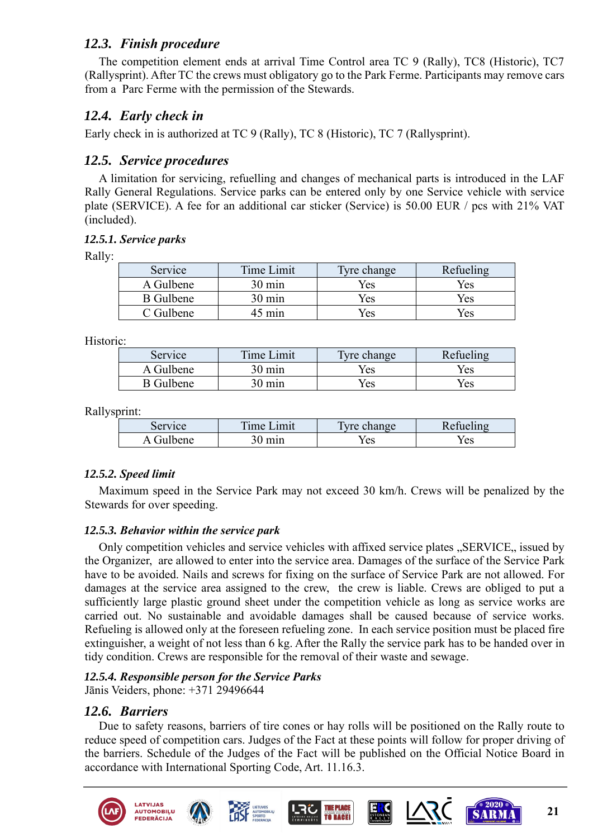# *12.3. Finish procedure*

The competition element ends at arrival Time Control area TC 9 (Rally), TC8 (Historic), TC7 (Rallysprint). After TC the crews must obligatory go to the Park Ferme. Participants may remove cars from a Parc Ferme with the permission of the Stewards.

# *12.4. Early check in*

Early check in is authorized at TC 9 (Rally), TC 8 (Historic), TC 7 (Rallysprint).

# *12.5. Service procedures*

A limitation for servicing, refuelling and changes of mechanical parts is introduced in the LAF Rally General Regulations. Service parks can be entered only by one Service vehicle with service plate (SERVICE). A fee for an additional car sticker (Service) is 50.00 EUR / pcs with 21% VAT (included).

#### *12.5.1. Service parks*

Rally:

| Service          | Time Limit       | Tyre change | Refueling |
|------------------|------------------|-------------|-----------|
| A Gulbene        | $30 \text{ min}$ | Yes         | Yes       |
| <b>B</b> Gulbene | $30 \text{ min}$ | Yes         | Yes       |
| C Gulbene        | 45 min           | Yes         | Yes       |

Historic:

| Service          | Time Limit       | Tyre change | Refueling |
|------------------|------------------|-------------|-----------|
| A Gulbene        | $30 \text{ min}$ | Yes         | Yes       |
| <b>B</b> Gulbene | m <sub>1</sub>   | Yes         | Yes       |

Rallysprint:

| Service     | m.<br><sub>1</sub> me<br>$+m1$ | $T_{V}$ .<br>hange <sup>-</sup> | $\rightarrow$ |
|-------------|--------------------------------|---------------------------------|---------------|
| -717<br>ene |                                | Yes                             | Yes           |

#### *12.5.2. Speed limit*

Maximum speed in the Service Park may not exceed 30 km/h. Crews will be penalized by the Stewards for over speeding.

#### *12.5.3. Behavior within the service park*

Only competition vehicles and service vehicles with affixed service plates "SERVICE, issued by the Organizer, are allowed to enter into the service area. Damages of the surface of the Service Park have to be avoided. Nails and screws for fixing on the surface of Service Park are not allowed. For damages at the service area assigned to the crew, the crew is liable. Crews are obliged to put a sufficiently large plastic ground sheet under the competition vehicle as long as service works are carried out. No sustainable and avoidable damages shall be caused because of service works. Refueling is allowed only at the foreseen refueling zone. In each service position must be placed fire extinguisher, a weight of not less than 6 kg. After the Rally the service park has to be handed over in tidy condition. Crews are responsible for the removal of their waste and sewage.

# *12.5.4. Responsible person for the Service Parks*

Jānis Veiders, phone: +371 29496644

# *12.6. Barriers*

Due to safety reasons, barriers of tire cones or hay rolls will be positioned on the Rally route to reduce speed of competition cars. Judges of the Fact at these points will follow for proper driving of the barriers. Schedule of the Judges of the Fact will be published on the Official Notice Board in accordance with International Sporting Code, Art. 11.16.3.

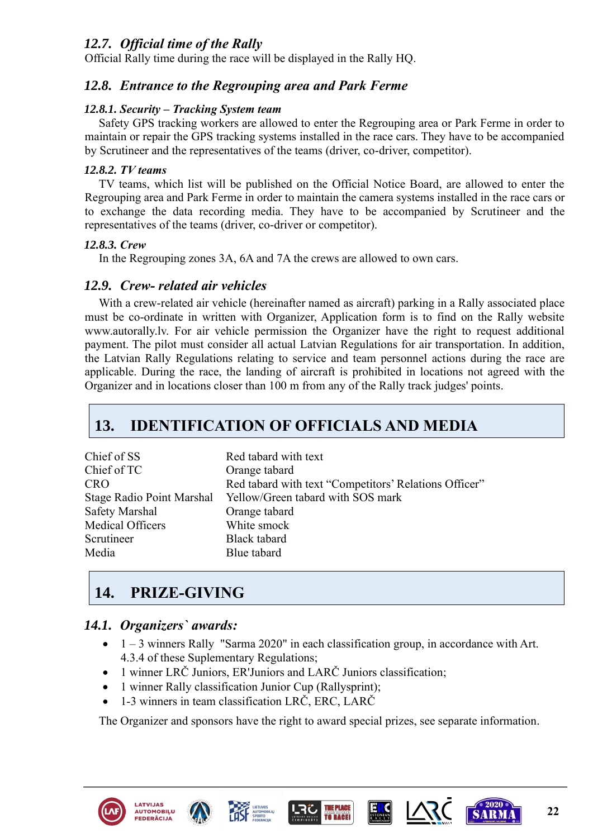# *12.7. Official time of the Rally*

Official Rally time during the race will be displayed in the Rally HQ.

# *12.8. Entrance to the Regrouping area and Park Ferme*

#### *12.8.1. Security – Tracking System team*

Safety GPS tracking workers are allowed to enter the Regrouping area or Park Ferme in order to maintain or repair the GPS tracking systems installed in the race cars. They have to be accompanied by Scrutineer and the representatives of the teams (driver, co-driver, competitor).

#### *12.8.2. TV teams*

TV teams, which list will be published on the Official Notice Board, are allowed to enter the Regrouping area and Park Ferme in order to maintain the camera systems installed in the race cars or to exchange the data recording media. They have to be accompanied by Scrutineer and the representatives of the teams (driver, co-driver or competitor).

#### *12.8.3. Crew*

In the Regrouping zones 3A, 6A and 7A the crews are allowed to own cars.

### *12.9. Crew- related air vehicles*

With a crew-related air vehicle (hereinafter named as aircraft) parking in a Rally associated place must be co-ordinate in written with Organizer, Application form is to find on the Rally website www.autorally.lv. For air vehicle permission the Organizer have the right to request additional payment. The pilot must consider all actual Latvian Regulations for air transportation. In addition, the Latvian Rally Regulations relating to service and team personnel actions during the race are applicable. During the race, the landing of aircraft is prohibited in locations not agreed with the Organizer and in locations closer than 100 m from any of the Rally track judges' points.

# <span id="page-21-0"></span>**13. [IDENTIFICATION OF OFFICIALS AND MEDIA](#page-1-0)**

| Chief of SS      | Red tabard with text                                        |
|------------------|-------------------------------------------------------------|
| Chief of TC      | Orange tabard                                               |
| CRO              | Red tabard with text "Competitors' Relations Officer"       |
|                  | Stage Radio Point Marshal Yellow/Green tabard with SOS mark |
| Safety Marshal   | Orange tabard                                               |
| Medical Officers | White smock                                                 |
| Scrutineer       | Black tabard                                                |
| Media            | Blue tabard                                                 |
|                  |                                                             |

# <span id="page-21-1"></span>**14. [PRIZE-GIVING](#page-1-0)**

# *14.1. Organizers` awards:*

- $\bullet$  1 3 winners Rally "Sarma 2020" in each classification group, in accordance with Art. 4.3.4 of these Suplementary Regulations;
- 1 winner LRČ Juniors, ER'Juniors and LARČ Juniors classification;
- 1 winner Rally classification Junior Cup (Rallysprint);
- 1-3 winners in team classification LRČ, ERC, LARČ

The Organizer and sponsors have the right to award special prizes, see separate information.